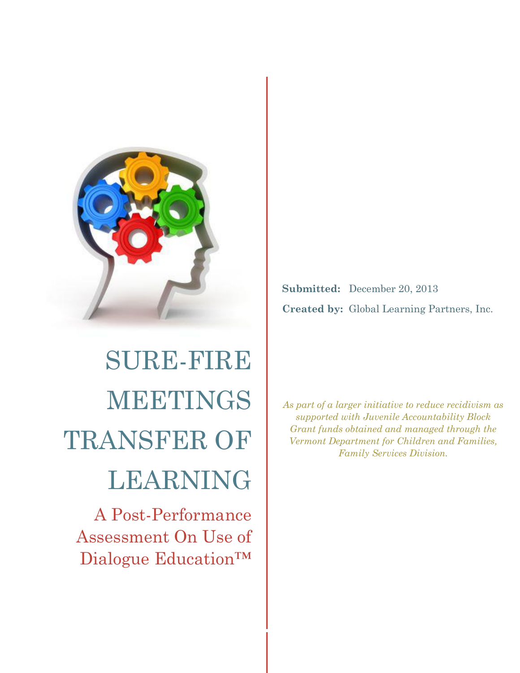

# SURE-FIRE MEETINGS TRANSFER OF LEARNING

A Post-Performance Assessment On Use of Dialogue Education™

**Submitted:** December 20, 2013 **Created by:** Global Learning Partners, Inc.

*As part of a larger initiative to reduce recidivism as supported with Juvenile Accountability Block Grant funds obtained and managed through the Vermont Department for Children and Families, Family Services Division.*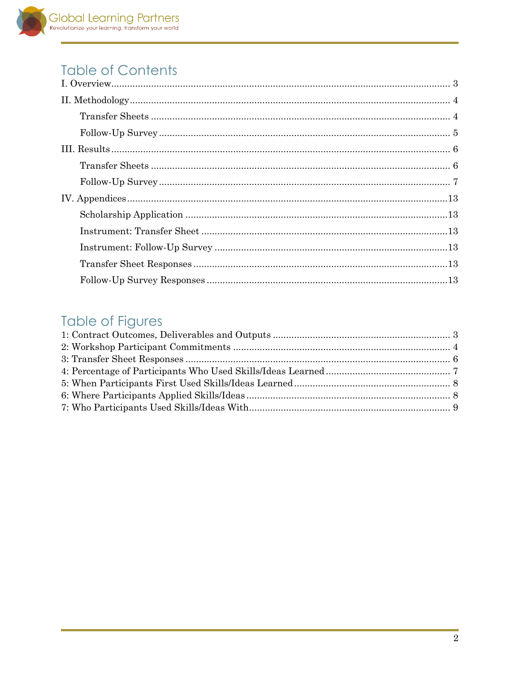## **Table of Contents**

## **Table of Figures**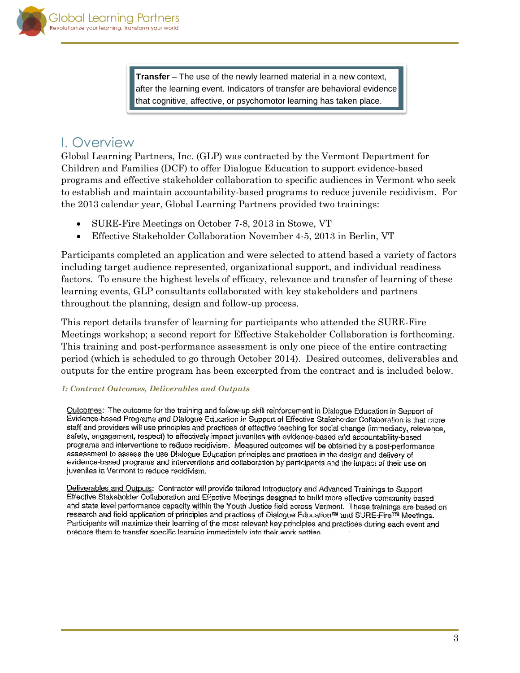**Transfer** – The use of the newly learned material in a new context, after the learning event. Indicators of transfer are behavioral evidence that cognitive, affective, or psychomotor learning has taken place.

## <span id="page-2-0"></span>I. Overview

Global Learning Partners, Inc. (GLP) was contracted by the Vermont Department for Children and Families (DCF) to offer Dialogue Education to support evidence-based programs and effective stakeholder collaboration to specific audiences in Vermont who seek to establish and maintain accountability-based programs to reduce juvenile recidivism. For the 2013 calendar year, Global Learning Partners provided two trainings:

- SURE-Fire Meetings on October 7-8, 2013 in Stowe, VT
- Effective Stakeholder Collaboration November 4-5, 2013 in Berlin, VT

Participants completed an application and were selected to attend based a variety of factors including target audience represented, organizational support, and individual readiness factors. To ensure the highest levels of efficacy, relevance and transfer of learning of these learning events, GLP consultants collaborated with key stakeholders and partners throughout the planning, design and follow-up process.

This report details transfer of learning for participants who attended the SURE-Fire Meetings workshop; a second report for Effective Stakeholder Collaboration is forthcoming. This training and post-performance assessment is only one piece of the entire contracting period (which is scheduled to go through October 2014). Desired outcomes, deliverables and outputs for the entire program has been excerpted from the contract and is included below.

## <span id="page-2-1"></span>*1: Contract Outcomes, Deliverables and Outputs*

Outcomes: The outcome for the training and follow-up skill reinforcement in Dialogue Education in Support of Evidence-based Programs and Dialogue Education in Support of Effective Stakeholder Collaboration is that more staff and providers will use principles and practices of effective teaching for social change (immediacy, relevance, safety, engagement, respect) to effectively impact juveniles with evidence-based and accountability-based programs and interventions to reduce recidivism. Measured outcomes will be obtained by a post-performance assessment to assess the use Dialogue Education principles and practices in the design and delivery of evidence-based programs and interventions and collaboration by participants and the impact of their use on juveniles in Vermont to reduce recidivism.

Deliverables and Outputs: Contractor will provide tailored Introductory and Advanced Trainings to Support Effective Stakeholder Collaboration and Effective Meetings designed to build more effective community based and state level performance capacity within the Youth Justice field across Vermont. These trainings are based on research and field application of principles and practices of Dialogue Education™ and SURE-Fire™ Meetings. Participants will maximize their learning of the most relevant key principles and practices during each event and prepare them to transfer specific learning immediately into their work setting.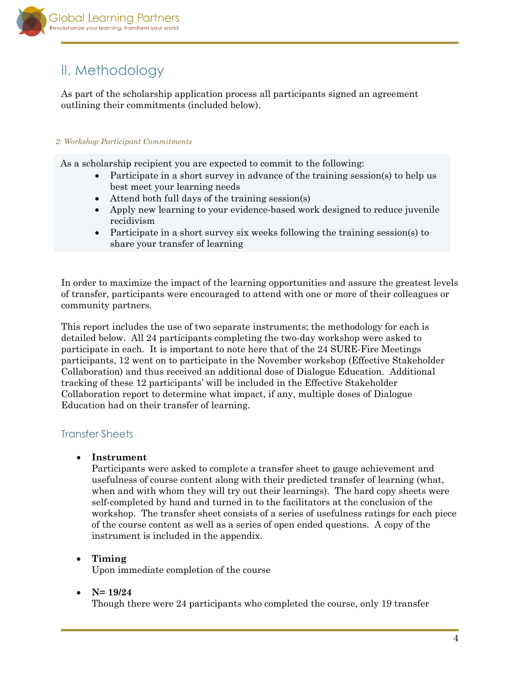

## <span id="page-3-0"></span>II. Methodology

As part of the scholarship application process all participants signed an agreement outlining their commitments (included below).

### *2: Workshop Participant Commitments*

As a scholarship recipient you are expected to commit to the following:

- Participate in a short survey in advance of the training session(s) to help us best meet your learning needs
- Attend both full days of the training session(s)
- Apply new learning to your evidence-based work designed to reduce juvenile recidivism
- Participate in a short survey six weeks following the training session(s) to share your transfer of learning

In order to maximize the impact of the learning opportunities and assure the greatest levels of transfer, participants were encouraged to attend with one or more of their colleagues or community partners.

This report includes the use of two separate instruments; the methodology for each is detailed below. All 24 participants completing the two-day workshop were asked to participate in each. It is important to note here that of the 24 SURE-Fire Meetings participants, 12 went on to participate in the November workshop (Effective Stakeholder Collaboration) and thus received an additional dose of Dialogue Education. Additional tracking of these 12 participants' will be included in the Effective Stakeholder Collaboration report to determine what impact, if any, multiple doses of Dialogue Education had on their transfer of learning.

## <span id="page-3-1"></span>Transfer Sheets

### **Instrument**

Participants were asked to complete a transfer sheet to gauge achievement and usefulness of course content along with their predicted transfer of learning (what, when and with whom they will try out their learnings). The hard copy sheets were self-completed by hand and turned in to the facilitators at the conclusion of the workshop. The transfer sheet consists of a series of usefulness ratings for each piece of the course content as well as a series of open ended questions. A copy of the instrument is included in the appendix.

## **Timing**

Upon immediate completion of the course

## **N= 19/24**

Though there were 24 participants who completed the course, only 19 transfer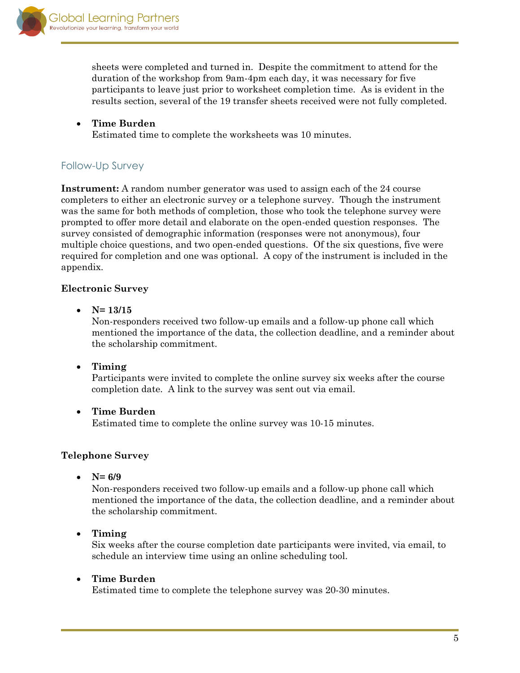

sheets were completed and turned in. Despite the commitment to attend for the duration of the workshop from 9am-4pm each day, it was necessary for five participants to leave just prior to worksheet completion time. As is evident in the results section, several of the 19 transfer sheets received were not fully completed.

 **Time Burden**  Estimated time to complete the worksheets was 10 minutes.

## <span id="page-4-0"></span>Follow-Up Survey

**Instrument:** A random number generator was used to assign each of the 24 course completers to either an electronic survey or a telephone survey. Though the instrument was the same for both methods of completion, those who took the telephone survey were prompted to offer more detail and elaborate on the open-ended question responses. The survey consisted of demographic information (responses were not anonymous), four multiple choice questions, and two open-ended questions. Of the six questions, five were required for completion and one was optional. A copy of the instrument is included in the appendix.

## **Electronic Survey**

**N= 13/15**

Non-responders received two follow-up emails and a follow-up phone call which mentioned the importance of the data, the collection deadline, and a reminder about the scholarship commitment.

**Timing**

Participants were invited to complete the online survey six weeks after the course completion date. A link to the survey was sent out via email.

**Time Burden**

Estimated time to complete the online survey was 10-15 minutes.

## **Telephone Survey**

•  $N= 6/9$ 

Non-responders received two follow-up emails and a follow-up phone call which mentioned the importance of the data, the collection deadline, and a reminder about the scholarship commitment.

**Timing**

Six weeks after the course completion date participants were invited, via email, to schedule an interview time using an online scheduling tool.

**Time Burden**

Estimated time to complete the telephone survey was 20-30 minutes.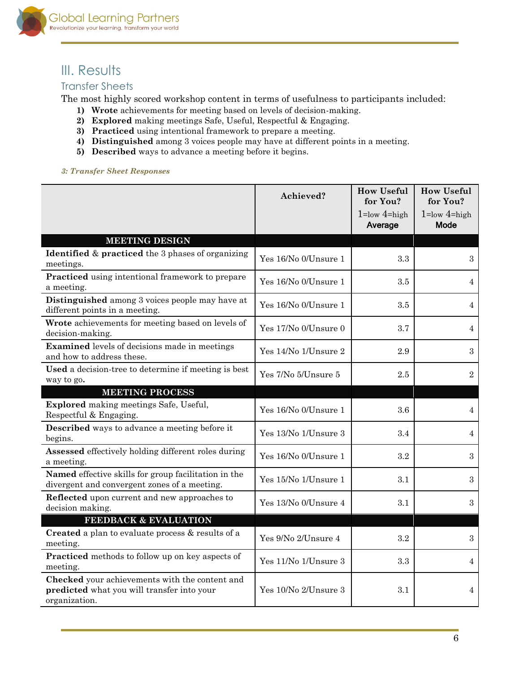

## <span id="page-5-0"></span>III. Results

## <span id="page-5-1"></span>Transfer Sheets

The most highly scored workshop content in terms of usefulness to participants included:

- **1) Wrote** achievements for meeting based on levels of decision-making.
- **2) Explored** making meetings Safe, Useful, Respectful & Engaging.
- **3) Practiced** using intentional framework to prepare a meeting.
- **4) Distinguished** among 3 voices people may have at different points in a meeting.
- **5) Described** ways to advance a meeting before it begins.

<span id="page-5-2"></span>

|  |  |  | 3: Transfer Sheet Responses |
|--|--|--|-----------------------------|
|--|--|--|-----------------------------|

|                                                                                                               | Achieved?            | <b>How Useful</b><br>for You?<br>$1 = low$ 4=high | <b>How Useful</b><br>for You?<br>$1 = low 4 = high$ |
|---------------------------------------------------------------------------------------------------------------|----------------------|---------------------------------------------------|-----------------------------------------------------|
|                                                                                                               |                      | Average                                           | <b>Mode</b>                                         |
| <b>MEETING DESIGN</b>                                                                                         |                      |                                                   |                                                     |
| <b>Identified &amp; practiced</b> the 3 phases of organizing<br>meetings.                                     | Yes 16/No 0/Unsure 1 | 3.3                                               | $\boldsymbol{3}$                                    |
| Practiced using intentional framework to prepare<br>a meeting.                                                | Yes 16/No 0/Unsure 1 | 3.5                                               | 4                                                   |
| Distinguished among 3 voices people may have at<br>different points in a meeting.                             | Yes 16/No 0/Unsure 1 | 3.5                                               | 4                                                   |
| Wrote achievements for meeting based on levels of<br>decision-making.                                         | Yes 17/No 0/Unsure 0 | 3.7                                               | 4                                                   |
| Examined levels of decisions made in meetings<br>and how to address these.                                    | Yes 14/No 1/Unsure 2 | 2.9                                               | 3                                                   |
| Used a decision-tree to determine if meeting is best<br>way to go.                                            | Yes 7/No 5/Unsure 5  | 2.5                                               | $\overline{2}$                                      |
| <b>MEETING PROCESS</b>                                                                                        |                      |                                                   |                                                     |
| Explored making meetings Safe, Useful,<br>Respectful & Engaging.                                              | Yes 16/No 0/Unsure 1 | 3.6                                               | 4                                                   |
| <b>Described</b> ways to advance a meeting before it<br>begins.                                               | Yes 13/No 1/Unsure 3 | 3.4                                               | 4                                                   |
| Assessed effectively holding different roles during<br>a meeting.                                             | Yes 16/No 0/Unsure 1 | 3.2                                               | 3                                                   |
| Named effective skills for group facilitation in the<br>divergent and convergent zones of a meeting.          | Yes 15/No 1/Unsure 1 | 3.1                                               | $\boldsymbol{3}$                                    |
| Reflected upon current and new approaches to<br>decision making.                                              | Yes 13/No 0/Unsure 4 | 3.1                                               | 3                                                   |
| FEEDBACK & EVALUATION                                                                                         |                      |                                                   |                                                     |
| <b>Created</b> a plan to evaluate process & results of a<br>meeting.                                          | Yes 9/No 2/Unsure 4  | 3.2                                               | 3                                                   |
| Practiced methods to follow up on key aspects of<br>meeting.                                                  | Yes 11/No 1/Unsure 3 | 3.3                                               | 4                                                   |
| Checked your achievements with the content and<br>predicted what you will transfer into your<br>organization. | Yes 10/No 2/Unsure 3 | 3.1                                               | 4                                                   |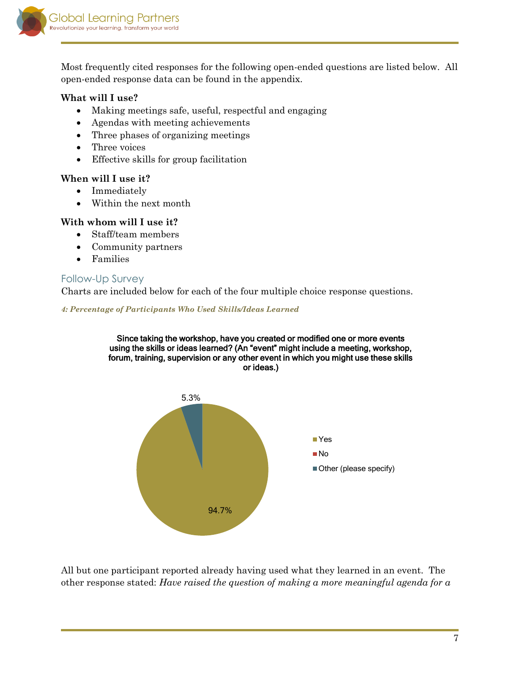

Most frequently cited responses for the following open-ended questions are listed below. All open-ended response data can be found in the appendix.

## **What will I use?**

- Making meetings safe, useful, respectful and engaging
- Agendas with meeting achievements
- Three phases of organizing meetings
- Three voices
- Effective skills for group facilitation

## **When will I use it?**

- Immediately
- Within the next month

## **With whom will I use it?**

- Staff/team members
- Community partners
- Families

## <span id="page-6-0"></span>Follow-Up Survey

Charts are included below for each of the four multiple choice response questions.

<span id="page-6-1"></span>*4: Percentage of Participants Who Used Skills/Ideas Learned*





All but one participant reported already having used what they learned in an event. The other response stated: *Have raised the question of making a more meaningful agenda for a*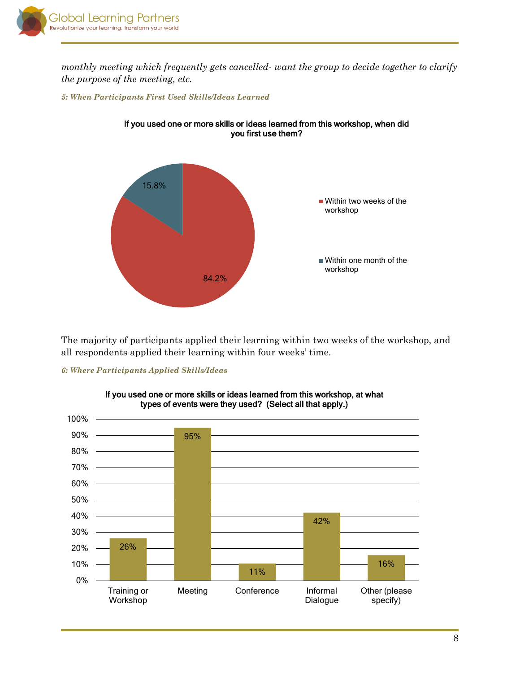

*monthly meeting which frequently gets cancelled- want the group to decide together to clarify the purpose of the meeting, etc.*

#### <span id="page-7-0"></span>*5: When Participants First Used Skills/Ideas Learned*



If you used one or more skills or ideas learned from this workshop, when did you first use them?

The majority of participants applied their learning within two weeks of the workshop, and all respondents applied their learning within four weeks' time.

#### <span id="page-7-1"></span>*6: Where Participants Applied Skills/Ideas*



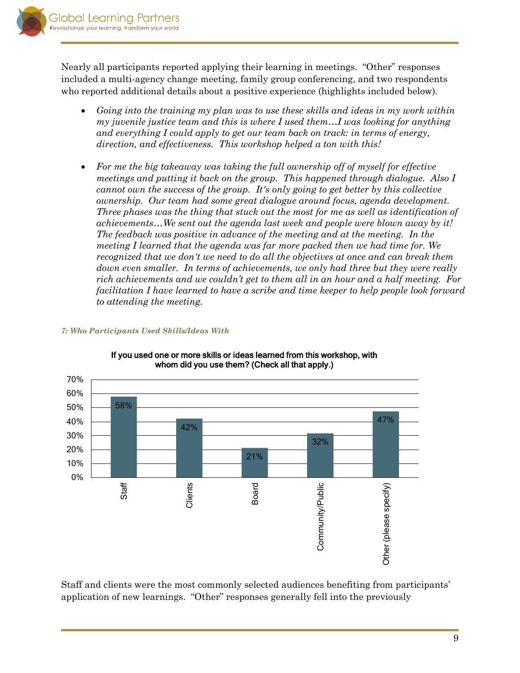

Nearly all participants reported applying their learning in meetings. "Other" responses included a multi-agency change meeting, family group conferencing, and two respondents who reported additional details about a positive experience (highlights included below).

- *Going into the training my plan was to use these skills and ideas in my work within my juvenile justice team and this is where I used them...I was looking for anything and everything I could apply to get our team back on track: in terms of energy, direction, and effectiveness. This workshop helped a ton with this!*
- *For me the big takeaway was taking the full ownership off of myself for effective meetings and putting it back on the group. This happened through dialogue. Also I cannot own the success of the group. It's only going to get better by this collective ownership. Our team had some great dialogue around focus, agenda development. Three phases was the thing that stuck out the most for me as well as identification of achievements…We sent out the agenda last week and people were blown away by it! The feedback was positive in advance of the meeting and at the meeting. In the meeting I learned that the agenda was far more packed then we had time for. We recognized that we don't we need to do all the objectives at once and can break them*  down even smaller. In terms of achievements, we only had three but they were really *rich achievements and we couldn't get to them all in an hour and a half meeting. For facilitation I have learned to have a scribe and time keeper to help people look forward to attending the meeting.*



### <span id="page-8-0"></span>*7: Who Participants Used Skills/Ideas With*

If you used one or more skills or ideas learned from this workshop, with whom did you use them? (Check all that apply.)

Staff and clients were the most commonly selected audiences benefiting from participants' application of new learnings. "Other" responses generally fell into the previously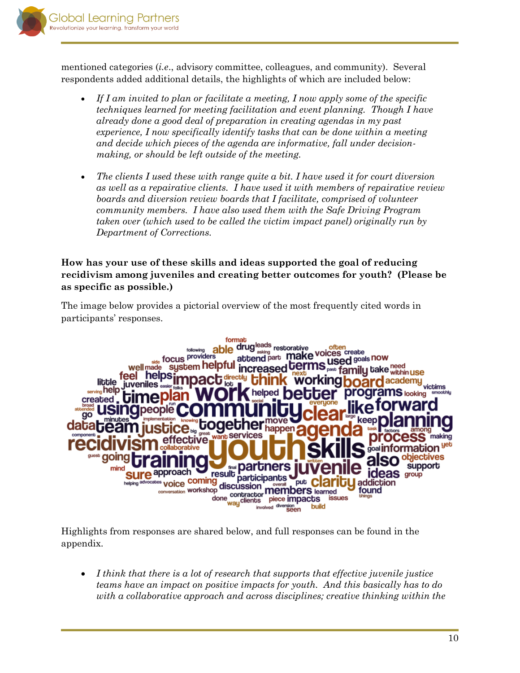

mentioned categories (*i.e*., advisory committee, colleagues, and community). Several respondents added additional details, the highlights of which are included below:

- *If I am invited to plan or facilitate a meeting, I now apply some of the specific techniques learned for meeting facilitation and event planning. Though I have already done a good deal of preparation in creating agendas in my past experience, I now specifically identify tasks that can be done within a meeting and decide which pieces of the agenda are informative, fall under decisionmaking, or should be left outside of the meeting.*
- *The clients I used these with range quite a bit. I have used it for court diversion as well as a repairative clients. I have used it with members of repairative review boards and diversion review boards that I facilitate, comprised of volunteer community members. I have also used them with the Safe Driving Program taken over (which used to be called the victim impact panel) originally run by Department of Corrections.*

## **How has your use of these skills and ideas supported the goal of reducing recidivism among juveniles and creating better outcomes for youth? (Please be as specific as possible.)**

The image below provides a pictorial overview of the most frequently cited words in participants' responses.



Highlights from responses are shared below, and full responses can be found in the appendix.

 *I think that there is a lot of research that supports that effective juvenile justice teams have an impact on positive impacts for youth. And this basically has to do with a collaborative approach and across disciplines; creative thinking within the*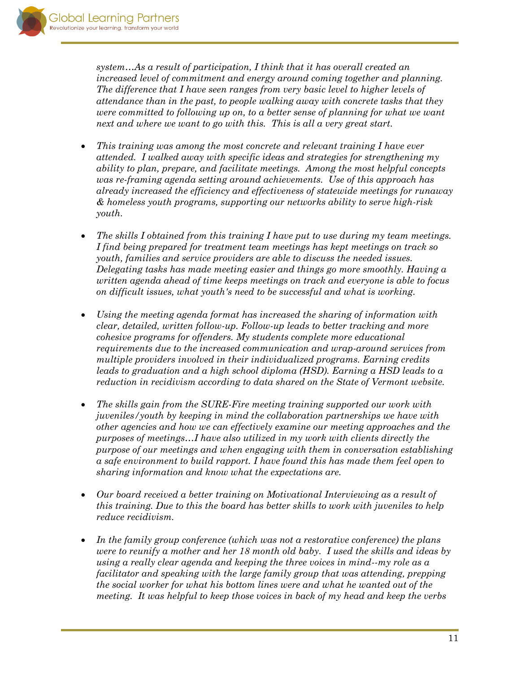*system…As a result of participation, I think that it has overall created an increased level of commitment and energy around coming together and planning. The difference that I have seen ranges from very basic level to higher levels of attendance than in the past, to people walking away with concrete tasks that they were committed to following up on, to a better sense of planning for what we want next and where we want to go with this. This is all a very great start.* 

- *This training was among the most concrete and relevant training I have ever attended. I walked away with specific ideas and strategies for strengthening my ability to plan, prepare, and facilitate meetings. Among the most helpful concepts was re-framing agenda setting around achievements. Use of this approach has already increased the efficiency and effectiveness of statewide meetings for runaway & homeless youth programs, supporting our networks ability to serve high-risk youth.*
- *The skills I obtained from this training I have put to use during my team meetings. I find being prepared for treatment team meetings has kept meetings on track so youth, families and service providers are able to discuss the needed issues. Delegating tasks has made meeting easier and things go more smoothly. Having a written agenda ahead of time keeps meetings on track and everyone is able to focus on difficult issues, what youth's need to be successful and what is working.*
- *Using the meeting agenda format has increased the sharing of information with clear, detailed, written follow-up. Follow-up leads to better tracking and more cohesive programs for offenders. My students complete more educational requirements due to the increased communication and wrap-around services from multiple providers involved in their individualized programs. Earning credits leads to graduation and a high school diploma (HSD). Earning a HSD leads to a reduction in recidivism according to data shared on the State of Vermont website.*
- *The skills gain from the SURE-Fire meeting training supported our work with juveniles/youth by keeping in mind the collaboration partnerships we have with other agencies and how we can effectively examine our meeting approaches and the purposes of meetings…I have also utilized in my work with clients directly the purpose of our meetings and when engaging with them in conversation establishing a safe environment to build rapport. I have found this has made them feel open to sharing information and know what the expectations are.*
- *Our board received a better training on Motivational Interviewing as a result of this training. Due to this the board has better skills to work with juveniles to help reduce recidivism.*
- *In the family group conference (which was not a restorative conference) the plans were to reunify a mother and her 18 month old baby. I used the skills and ideas by using a really clear agenda and keeping the three voices in mind--my role as a facilitator and speaking with the large family group that was attending, prepping the social worker for what his bottom lines were and what he wanted out of the meeting. It was helpful to keep those voices in back of my head and keep the verbs*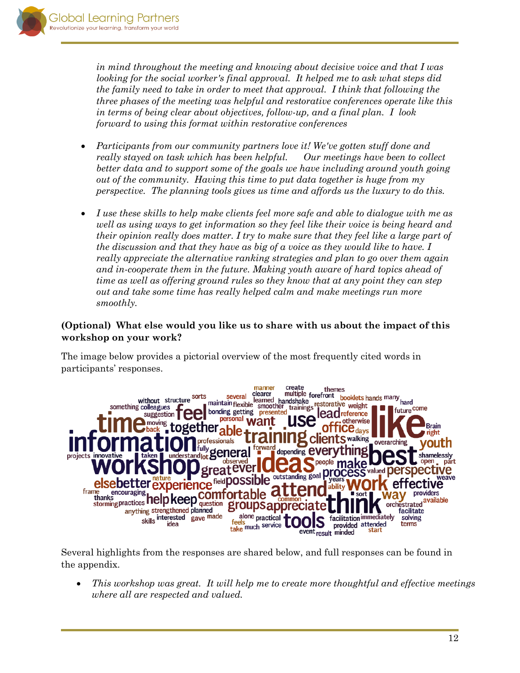*in mind throughout the meeting and knowing about decisive voice and that I was looking for the social worker's final approval. It helped me to ask what steps did the family need to take in order to meet that approval. I think that following the three phases of the meeting was helpful and restorative conferences operate like this in terms of being clear about objectives, follow-up, and a final plan. I look forward to using this format within restorative conferences*

- *Participants from our community partners love it! We've gotten stuff done and really stayed on task which has been helpful. Our meetings have been to collect better data and to support some of the goals we have including around youth going out of the community. Having this time to put data together is huge from my perspective. The planning tools gives us time and affords us the luxury to do this.*
- *I use these skills to help make clients feel more safe and able to dialogue with me as well as using ways to get information so they feel like their voice is being heard and their opinion really does matter. I try to make sure that they feel like a large part of the discussion and that they have as big of a voice as they would like to have. I really appreciate the alternative ranking strategies and plan to go over them again and in-cooperate them in the future. Making youth aware of hard topics ahead of time as well as offering ground rules so they know that at any point they can step out and take some time has really helped calm and make meetings run more smoothly.*

## **(Optional) What else would you like us to share with us about the impact of this workshop on your work?**

The image below provides a pictorial overview of the most frequently cited words in participants' responses.



Several highlights from the responses are shared below, and full responses can be found in the appendix.

 *This workshop was great. It will help me to create more thoughtful and effective meetings where all are respected and valued.*